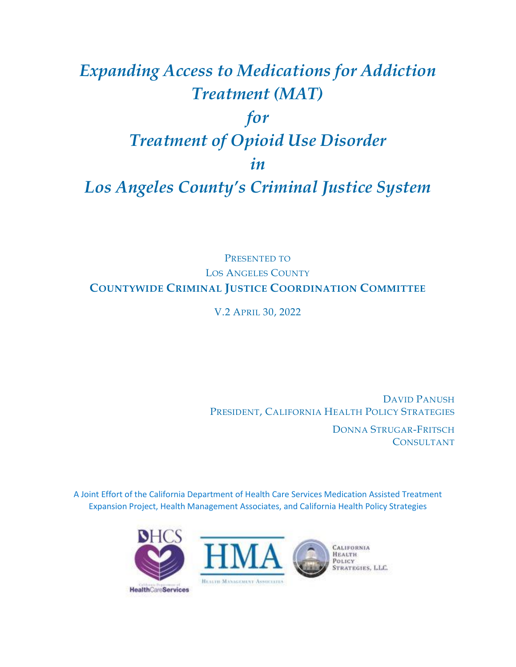# *Expanding Access to Medications for Addiction Treatment (MAT) for Treatment of Opioid Use Disorder in Los Angeles County's Criminal Justice System*

# PRESENTED TO LOS ANGELES COUNTY **COUNTYWIDE CRIMINAL JUSTICE COORDINATION COMMITTEE**

V.2 APRIL 30, 2022

DAVID PANUSH PRESIDENT, CALIFORNIA HEALTH POLICY STRATEGIES

> DONNA STRUGAR-FRITSCH CONSULTANT

A Joint Effort of the California Department of Health Care Services Medication Assisted Treatment Expansion Project, Health Management Associates, and California Health Policy Strategies

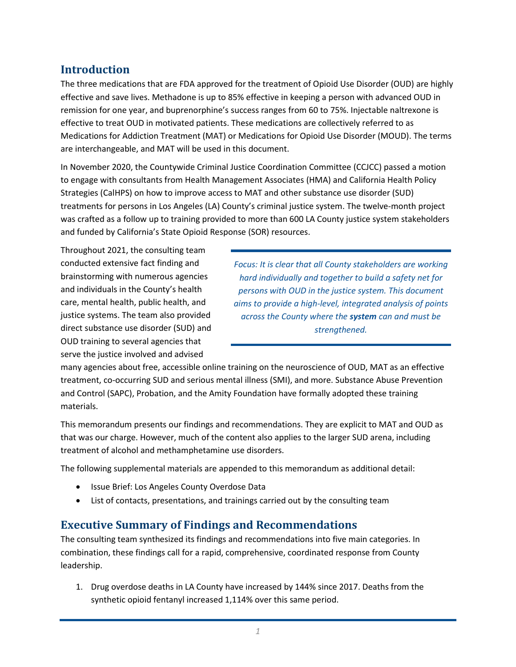# **Introduction**

The three medications that are FDA approved for the treatment of Opioid Use Disorder (OUD) are highly effective and save lives. Methadone is up to 85% effective in keeping a person with advanced OUD in remission for one year, and buprenorphine's success ranges from 60 to 75%. Injectable naltrexone is effective to treat OUD in motivated patients. These medications are collectively referred to as Medications for Addiction Treatment (MAT) or Medications for Opioid Use Disorder (MOUD). The terms are interchangeable, and MAT will be used in this document.

In November 2020, the Countywide Criminal Justice Coordination Committee (CCJCC) passed a motion to engage with consultants from Health Management Associates (HMA) and California Health Policy Strategies (CalHPS) on how to improve access to MAT and other substance use disorder (SUD) treatments for persons in Los Angeles (LA) County's criminal justice system. The twelve-month project was crafted as a follow up to training provided to more than 600 LA County justice system stakeholders and funded by California's State Opioid Response (SOR) resources.

Throughout 2021, the consulting team conducted extensive fact finding and brainstorming with numerous agencies and individuals in the County's health care, mental health, public health, and justice systems. The team also provided direct substance use disorder (SUD) and OUD training to several agencies that serve the justice involved and advised

*Focus: It is clear that all County stakeholders are working hard individually and together to build a safety net for persons with OUD in the justice system. This document aims to provide a high-level, integrated analysis of points across the County where the system can and must be strengthened.*

many agencies about free, accessible online training on the neuroscience of OUD, MAT as an effective treatment, co-occurring SUD and serious mental illness (SMI), and more. Substance Abuse Prevention and Control (SAPC), Probation, and the Amity Foundation have formally adopted these training materials.

This memorandum presents our findings and recommendations. They are explicit to MAT and OUD as that was our charge. However, much of the content also applies to the larger SUD arena, including treatment of alcohol and methamphetamine use disorders.

The following supplemental materials are appended to this memorandum as additional detail:

- Issue Brief: Los Angeles County Overdose Data
- List of contacts, presentations, and trainings carried out by the consulting team

# **Executive Summary of Findings and Recommendations**

The consulting team synthesized its findings and recommendations into five main categories. In combination, these findings call for a rapid, comprehensive, coordinated response from County leadership.

1. Drug overdose deaths in LA County have increased by 144% since 2017. Deaths from the synthetic opioid fentanyl increased 1,114% over this same period.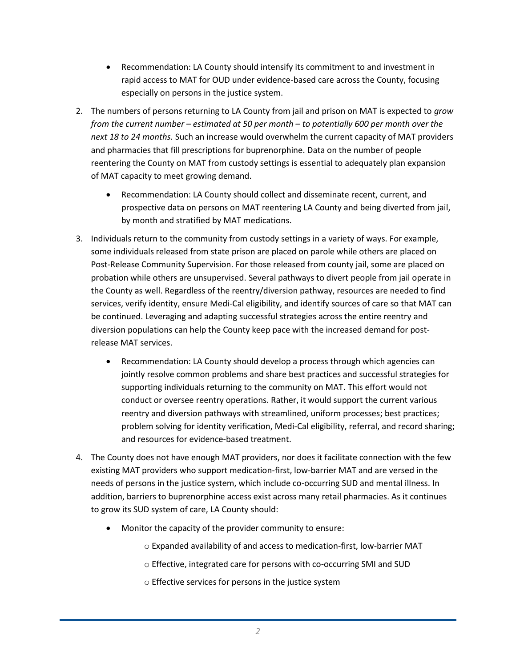- Recommendation: LA County should intensify its commitment to and investment in rapid access to MAT for OUD under evidence-based care across the County, focusing especially on persons in the justice system.
- 2. The numbers of persons returning to LA County from jail and prison on MAT is expected to *grow from the current number – estimated at 50 per month – to potentially 600 per month over the next 18 to 24 months.* Such an increase would overwhelm the current capacity of MAT providers and pharmacies that fill prescriptions for buprenorphine. Data on the number of people reentering the County on MAT from custody settings is essential to adequately plan expansion of MAT capacity to meet growing demand.
	- Recommendation: LA County should collect and disseminate recent, current, and prospective data on persons on MAT reentering LA County and being diverted from jail, by month and stratified by MAT medications.
- 3. Individuals return to the community from custody settings in a variety of ways. For example, some individuals released from state prison are placed on parole while others are placed on Post-Release Community Supervision. For those released from county jail, some are placed on probation while others are unsupervised. Several pathways to divert people from jail operate in the County as well. Regardless of the reentry/diversion pathway, resources are needed to find services, verify identity, ensure Medi-Cal eligibility, and identify sources of care so that MAT can be continued. Leveraging and adapting successful strategies across the entire reentry and diversion populations can help the County keep pace with the increased demand for postrelease MAT services.
	- Recommendation: LA County should develop a process through which agencies can jointly resolve common problems and share best practices and successful strategies for supporting individuals returning to the community on MAT. This effort would not conduct or oversee reentry operations. Rather, it would support the current various reentry and diversion pathways with streamlined, uniform processes; best practices; problem solving for identity verification, Medi-Cal eligibility, referral, and record sharing; and resources for evidence-based treatment.
- 4. The County does not have enough MAT providers, nor does it facilitate connection with the few existing MAT providers who support medication-first, low-barrier MAT and are versed in the needs of persons in the justice system, which include co-occurring SUD and mental illness. In addition, barriers to buprenorphine access exist across many retail pharmacies. As it continues to grow its SUD system of care, LA County should:
	- Monitor the capacity of the provider community to ensure:
		- o Expanded availability of and access to medication-first, low-barrier MAT
		- o Effective, integrated care for persons with co-occurring SMI and SUD
		- o Effective services for persons in the justice system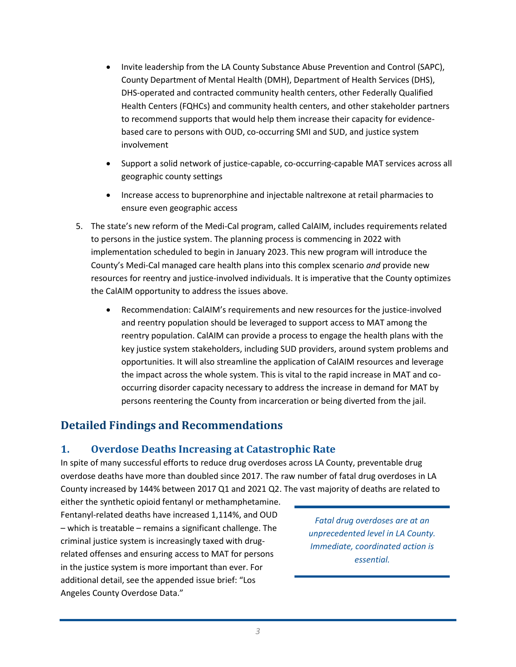- Invite leadership from the LA County Substance Abuse Prevention and Control (SAPC), County Department of Mental Health (DMH), Department of Health Services (DHS), DHS-operated and contracted community health centers, other Federally Qualified Health Centers (FQHCs) and community health centers, and other stakeholder partners to recommend supports that would help them increase their capacity for evidencebased care to persons with OUD, co-occurring SMI and SUD, and justice system involvement
- Support a solid network of justice-capable, co-occurring-capable MAT services across all geographic county settings
- Increase access to buprenorphine and injectable naltrexone at retail pharmacies to ensure even geographic access
- 5. The state's new reform of the Medi-Cal program, called CalAIM, includes requirements related to persons in the justice system. The planning process is commencing in 2022 with implementation scheduled to begin in January 2023. This new program will introduce the County's Medi-Cal managed care health plans into this complex scenario *and* provide new resources for reentry and justice-involved individuals. It is imperative that the County optimizes the CalAIM opportunity to address the issues above.
	- Recommendation: CalAIM's requirements and new resources for the justice-involved and reentry population should be leveraged to support access to MAT among the reentry population. CalAIM can provide a process to engage the health plans with the key justice system stakeholders, including SUD providers, around system problems and opportunities. It will also streamline the application of CalAIM resources and leverage the impact across the whole system. This is vital to the rapid increase in MAT and cooccurring disorder capacity necessary to address the increase in demand for MAT by persons reentering the County from incarceration or being diverted from the jail.

# **Detailed Findings and Recommendations**

## **1. Overdose Deaths Increasing at Catastrophic Rate**

In spite of many successful efforts to reduce drug overdoses across LA County, preventable drug overdose deaths have more than doubled since 2017. The raw number of fatal drug overdoses in LA County increased by 144% between 2017 Q1 and 2021 Q2. The vast majority of deaths are related to

either the synthetic opioid fentanyl or methamphetamine. Fentanyl-related deaths have increased 1,114%, and OUD – which is treatable – remains a significant challenge. The criminal justice system is increasingly taxed with drugrelated offenses and ensuring access to MAT for persons in the justice system is more important than ever. For additional detail, see the appended issue brief: "Los Angeles County Overdose Data."

*Fatal drug overdoses are at an unprecedented level in LA County. Immediate, coordinated action is essential.*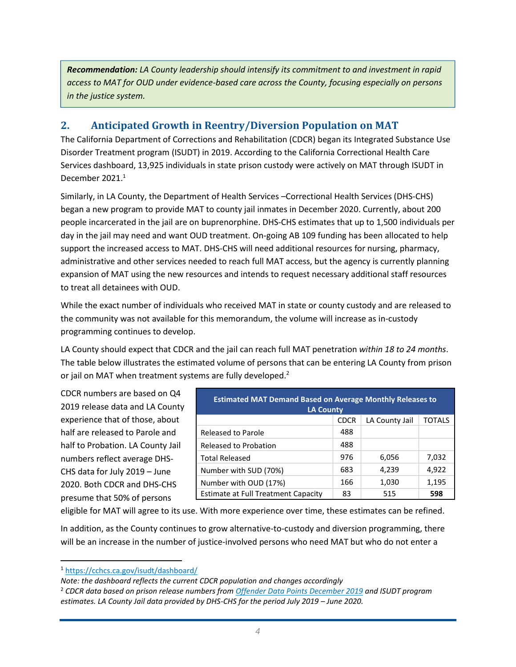*Recommendation: LA County leadership should intensify its commitment to and investment in rapid access to MAT for OUD under evidence-based care across the County, focusing especially on persons in the justice system.* 

## **2. Anticipated Growth in Reentry/Diversion Population on MAT**

The California Department of Corrections and Rehabilitation (CDCR) began its Integrated Substance Use Disorder Treatment program (ISUDT) in 2019. According to the California Correctional Health Care Services dashboard, 13,925 individuals in state prison custody were actively on MAT through ISUDT in December 2021.<sup>1</sup>

Similarly, in LA County, the Department of Health Services –Correctional Health Services (DHS-CHS) began a new program to provide MAT to county jail inmates in December 2020. Currently, about 200 people incarcerated in the jail are on buprenorphine. DHS-CHS estimates that up to 1,500 individuals per day in the jail may need and want OUD treatment. On-going AB 109 funding has been allocated to help support the increased access to MAT. DHS-CHS will need additional resources for nursing, pharmacy, administrative and other services needed to reach full MAT access, but the agency is currently planning expansion of MAT using the new resources and intends to request necessary additional staff resources to treat all detainees with OUD.

While the exact number of individuals who received MAT in state or county custody and are released to the community was not available for this memorandum, the volume will increase as in-custody programming continues to develop.

LA County should expect that CDCR and the jail can reach full MAT penetration *within 18 to 24 months*. The table below illustrates the estimated volume of persons that can be entering LA County from prison or jail on MAT when treatment systems are fully developed.<sup>2</sup>

CDCR numbers are based on Q4 2019 release data and LA County experience that of those, about half are released to Parole and half to Probation. LA County Jail numbers reflect average DHS-CHS data for July 2019 – June 2020. Both CDCR and DHS-CHS presume that 50% of persons

| <b>Estimated MAT Demand Based on Average Monthly Releases to</b><br><b>LA County</b> |             |                |               |  |
|--------------------------------------------------------------------------------------|-------------|----------------|---------------|--|
|                                                                                      | <b>CDCR</b> | LA County Jail | <b>TOTALS</b> |  |
| <b>Released to Parole</b>                                                            | 488         |                |               |  |
| Released to Probation                                                                | 488         |                |               |  |
| <b>Total Released</b>                                                                | 976         | 6,056          | 7,032         |  |
| Number with SUD (70%)                                                                | 683         | 4,239          | 4,922         |  |
| Number with OUD (17%)                                                                | 166         | 1,030          | 1,195         |  |
| <b>Estimate at Full Treatment Capacity</b>                                           | 83          | 515            | 598           |  |

eligible for MAT will agree to its use. With more experience over time, these estimates can be refined.

In addition, as the County continues to grow alternative-to-custody and diversion programming, there will be an increase in the number of justice-involved persons who need MAT but who do not enter a

<sup>1</sup> <https://cchcs.ca.gov/isudt/dashboard/>

*Note: the dashboard reflects the current CDCR population and changes accordingly*

<sup>2</sup> *CDCR data based on prison release numbers from [Offender Data Points December 2019](https://www.cdcr.ca.gov/research/wp-content/uploads/sites/174/2021/11/201912_DataPoints.pdf) and ISUDT program*  estimates. LA County Jail data provided by DHS-CHS for the period July 2019 - June 2020.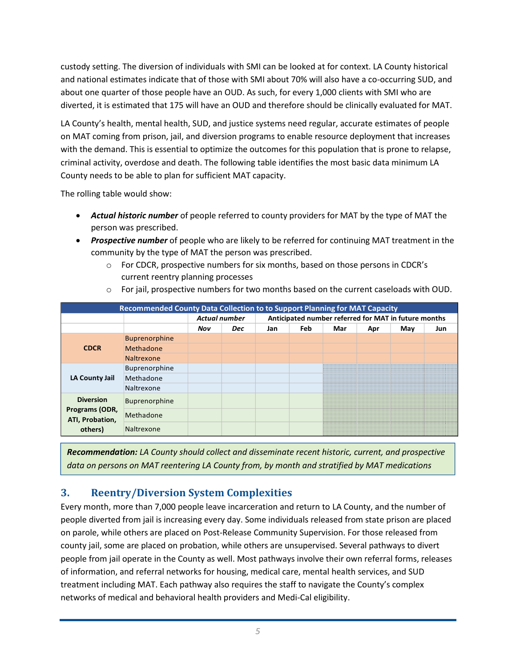custody setting. The diversion of individuals with SMI can be looked at for context. LA County historical and national estimates indicate that of those with SMI about 70% will also have a co-occurring SUD, and about one quarter of those people have an OUD. As such, for every 1,000 clients with SMI who are diverted, it is estimated that 175 will have an OUD and therefore should be clinically evaluated for MAT.

LA County's health, mental health, SUD, and justice systems need regular, accurate estimates of people on MAT coming from prison, jail, and diversion programs to enable resource deployment that increases with the demand. This is essential to optimize the outcomes for this population that is prone to relapse, criminal activity, overdose and death. The following table identifies the most basic data minimum LA County needs to be able to plan for sufficient MAT capacity.

The rolling table would show:

- *Actual historic number* of people referred to county providers for MAT by the type of MAT the person was prescribed.
- *Prospective number* of people who are likely to be referred for continuing MAT treatment in the community by the type of MAT the person was prescribed.
	- $\circ$  For CDCR, prospective numbers for six months, based on those persons in CDCR's current reentry planning processes

| Recommended County Data Collection to to Support Planning for MAT Capacity |                      |                                                                              |            |     |     |     |     |     |     |
|----------------------------------------------------------------------------|----------------------|------------------------------------------------------------------------------|------------|-----|-----|-----|-----|-----|-----|
|                                                                            |                      | Anticipated number referred for MAT in future months<br><b>Actual number</b> |            |     |     |     |     |     |     |
|                                                                            |                      | Nov                                                                          | <b>Dec</b> | Jan | Feb | Mar | Apr | May | Jun |
|                                                                            | <b>Buprenorphine</b> |                                                                              |            |     |     |     |     |     |     |
| <b>CDCR</b>                                                                | Methadone            |                                                                              |            |     |     |     |     |     |     |
|                                                                            | Naltrexone           |                                                                              |            |     |     |     |     |     |     |
|                                                                            | Buprenorphine        |                                                                              |            |     |     |     |     |     |     |
| LA County Jail                                                             | Methadone            |                                                                              |            |     |     |     |     |     |     |
|                                                                            | Naltrexone           |                                                                              |            |     |     |     |     |     |     |
| <b>Diversion</b>                                                           | <b>Buprenorphine</b> |                                                                              |            |     |     |     |     |     |     |
| Programs (ODR,<br>ATI, Probation,<br>others)                               | Methadone            |                                                                              |            |     |     |     |     |     |     |
|                                                                            | Naltrexone           |                                                                              |            |     |     |     |     |     |     |

 $\circ$  For jail, prospective numbers for two months based on the current caseloads with OUD.

*Recommendation: LA County should collect and disseminate recent historic, current, and prospective data on persons on MAT reentering LA County from, by month and stratified by MAT medications*

# **3. Reentry/Diversion System Complexities**

Every month, more than 7,000 people leave incarceration and return to LA County, and the number of people diverted from jail is increasing every day. Some individuals released from state prison are placed on parole, while others are placed on Post-Release Community Supervision. For those released from county jail, some are placed on probation, while others are unsupervised. Several pathways to divert people from jail operate in the County as well. Most pathways involve their own referral forms, releases of information, and referral networks for housing, medical care, mental health services, and SUD treatment including MAT. Each pathway also requires the staff to navigate the County's complex networks of medical and behavioral health providers and Medi-Cal eligibility.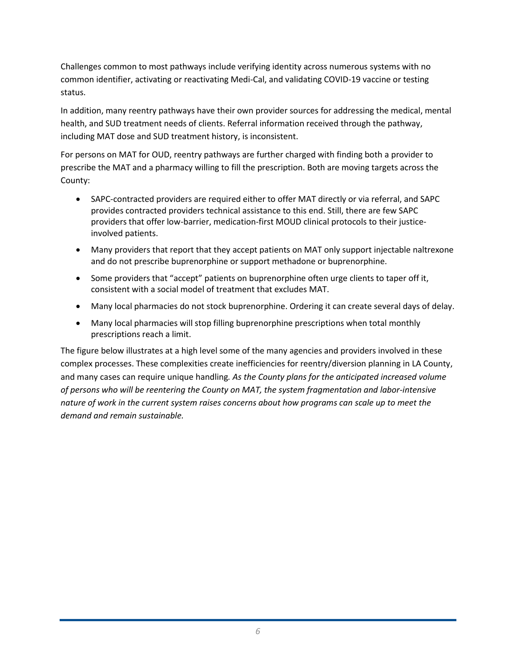Challenges common to most pathways include verifying identity across numerous systems with no common identifier, activating or reactivating Medi-Cal, and validating COVID-19 vaccine or testing status.

In addition, many reentry pathways have their own provider sources for addressing the medical, mental health, and SUD treatment needs of clients. Referral information received through the pathway, including MAT dose and SUD treatment history, is inconsistent.

For persons on MAT for OUD, reentry pathways are further charged with finding both a provider to prescribe the MAT and a pharmacy willing to fill the prescription. Both are moving targets across the County:

- SAPC-contracted providers are required either to offer MAT directly or via referral, and SAPC provides contracted providers technical assistance to this end. Still, there are few SAPC providers that offer low-barrier, medication-first MOUD clinical protocols to their justiceinvolved patients.
- Many providers that report that they accept patients on MAT only support injectable naltrexone and do not prescribe buprenorphine or support methadone or buprenorphine.
- Some providers that "accept" patients on buprenorphine often urge clients to taper off it, consistent with a social model of treatment that excludes MAT.
- Many local pharmacies do not stock buprenorphine. Ordering it can create several days of delay.
- Many local pharmacies will stop filling buprenorphine prescriptions when total monthly prescriptions reach a limit.

The figure below illustrates at a high level some of the many agencies and providers involved in these complex processes. These complexities create inefficiencies for reentry/diversion planning in LA County, and many cases can require unique handling*. As the County plans for the anticipated increased volume of persons who will be reentering the County on MAT, the system fragmentation and labor-intensive nature of work in the current system raises concerns about how programs can scale up to meet the demand and remain sustainable.*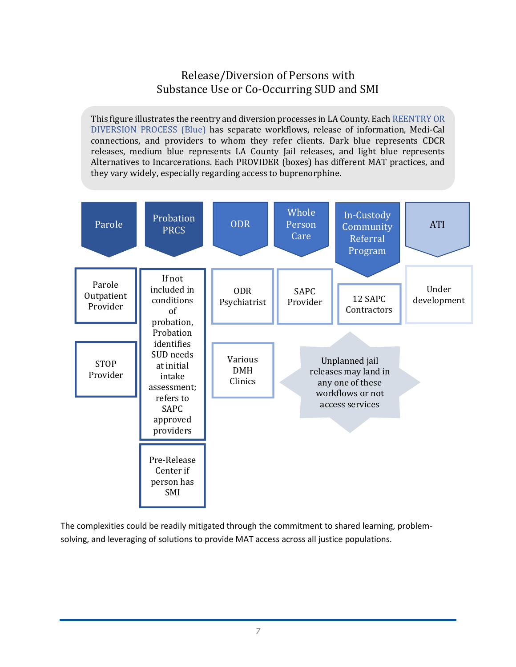# Release/Diversion of Persons with Substance Use or Co-Occurring SUD and SMI

This figure illustrates the reentry and diversion processes in LA County. Each REENTRY OR DIVERSION PROCESS (Blue) has separate workflows, release of information, Medi-Cal connections, and providers to whom they refer clients. Dark blue represents CDCR releases, medium blue represents LA County Jail releases, and light blue represents Alternatives to Incarcerations. Each PROVIDER (boxes) has different MAT practices, and they vary widely, especially regarding access to buprenorphine.



The complexities could be readily mitigated through the commitment to shared learning, problemsolving, and leveraging of solutions to provide MAT access across all justice populations.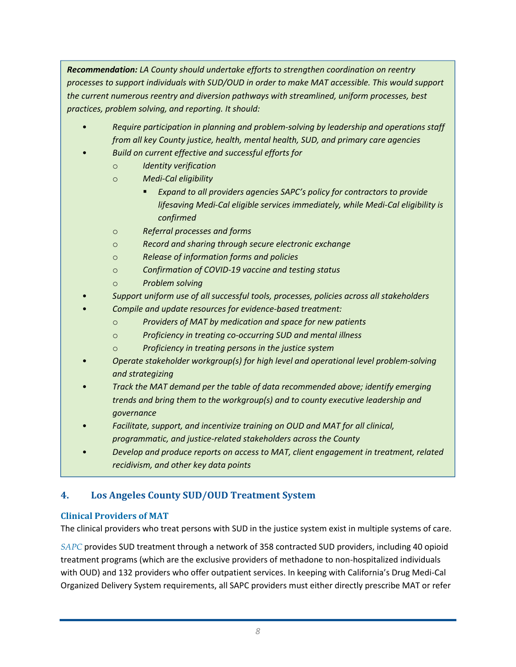*Recommendation: LA County should undertake efforts to strengthen coordination on reentry processes to support individuals with SUD/OUD in order to make MAT accessible. This would support the current numerous reentry and diversion pathways with streamlined, uniform processes, best practices, problem solving, and reporting. It should:*

- *Require participation in planning and problem-solving by leadership and operations staff from all key County justice, health, mental health, SUD, and primary care agencies*
- *Build on current effective and successful efforts for* 
	- o *Identity verification*
	- o *Medi-Cal eligibility* 
		- *Expand to all providers agencies SAPC's policy for contractors to provide lifesaving Medi-Cal eligible services immediately, while Medi-Cal eligibility is confirmed*
	- o *Referral processes and forms*
	- o *Record and sharing through secure electronic exchange*
	- o *Release of information forms and policies*
	- o *Confirmation of COVID-19 vaccine and testing status*
	- o *Problem solving*
- *Support uniform use of all successful tools, processes, policies across all stakeholders*
- *Compile and update resources for evidence-based treatment:*
	- o *Providers of MAT by medication and space for new patients*
	- o *Proficiency in treating co-occurring SUD and mental illness*
	- o *Proficiency in treating persons in the justice system*
- *Operate stakeholder workgroup(s) for high level and operational level problem-solving and strategizing*
- *Track the MAT demand per the table of data recommended above; identify emerging trends and bring them to the workgroup(s) and to county executive leadership and governance*
- *Facilitate, support, and incentivize training on OUD and MAT for all clinical, programmatic, and justice-related stakeholders across the County*
- *Develop and produce reports on access to MAT, client engagement in treatment, related recidivism, and other key data points*

## **4. Los Angeles County SUD/OUD Treatment System**

#### **Clinical Providers of MAT**

The clinical providers who treat persons with SUD in the justice system exist in multiple systems of care.

*SAPC* provides SUD treatment through a network of 358 contracted SUD providers, including 40 opioid treatment programs (which are the exclusive providers of methadone to non-hospitalized individuals with OUD) and 132 providers who offer outpatient services. In keeping with California's Drug Medi-Cal Organized Delivery System requirements, all SAPC providers must either directly prescribe MAT or refer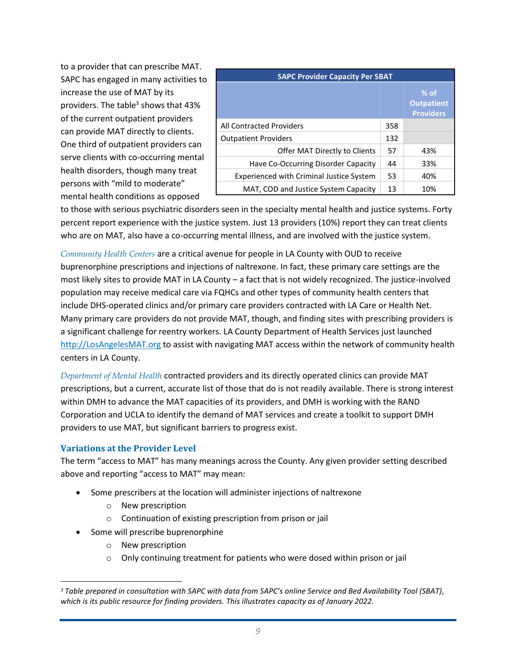to a provider that can prescribe MAT. SAPC has engaged in many activities to increase the use of MAT by its providers. The table<sup>3</sup> shows that 43% of the current outpatient providers can provide MAT directly to clients. One third of outpatient providers can serve clients with co-occurring mental health disorders, though many treat persons with "mild to moderate" mental health conditions as opposed

| <b>SAPC Provider Capacity Per SBAT</b>          |     |                                                 |  |  |
|-------------------------------------------------|-----|-------------------------------------------------|--|--|
|                                                 |     | $%$ of<br><b>Outpatient</b><br><b>Providers</b> |  |  |
| <b>All Contracted Providers</b>                 | 358 |                                                 |  |  |
| <b>Outpatient Providers</b>                     | 132 |                                                 |  |  |
| Offer MAT Directly to Clients                   | 57  | 43%                                             |  |  |
| Have Co-Occurring Disorder Capacity             | 44  | 33%                                             |  |  |
| <b>Experienced with Criminal Justice System</b> | 53  | 40%                                             |  |  |
| MAT, COD and Justice System Capacity            | 13  | 10%                                             |  |  |

to those with serious psychiatric disorders seen in the specialty mental health and justice systems. Forty percent report experience with the justice system. Just 13 providers (10%) report they can treat clients who are on MAT, also have a co-occurring mental illness, and are involved with the justice system.

*Community Health Centers* are a critical avenue for people in LA County with OUD to receive buprenorphine prescriptions and injections of naltrexone. In fact, these primary care settings are the most likely sites to provide MAT in LA County – a fact that is not widely recognized. The justice-involved population may receive medical care via FQHCs and other types of community health centers that include DHS-operated clinics and/or primary care providers contracted with LA Care or Health Net. Many primary care providers do not provide MAT, though, and finding sites with prescribing providers is a significant challenge for reentry workers. LA County Department of Health Services just launched [http://LosAngelesMAT.org](http://losangelesmat.org/) to assist with navigating MAT access within the network of community health centers in LA County.

*Department of Mental Health* contracted providers and its directly operated clinics can provide MAT prescriptions, but a current, accurate list of those that do is not readily available. There is strong interest within DMH to advance the MAT capacities of its providers, and DMH is working with the RAND Corporation and UCLA to identify the demand of MAT services and create a toolkit to support DMH providers to use MAT, but significant barriers to progress exist.

#### **Variations at the Provider Level**

The term "access to MAT" has many meanings across the County. Any given provider setting described above and reporting "access to MAT" may mean:

- Some prescribers at the location will administer injections of naltrexone
	- o New prescription
	- o Continuation of existing prescription from prison or jail
- Some will prescribe buprenorphine
	- o New prescription
	- $\circ$  Only continuing treatment for patients who were dosed within prison or jail

*<sup>3</sup> Table prepared in consultation with SAPC with data from SAPC's online Service and Bed Availability Tool (SBAT), which is its public resource for finding providers. This illustrates capacity as of January 2022.*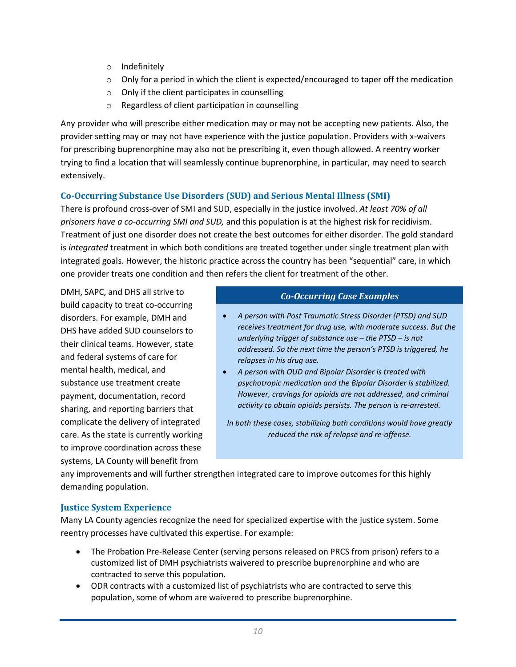- o Indefinitely
- $\circ$  Only for a period in which the client is expected/encouraged to taper off the medication
- o Only if the client participates in counselling
- o Regardless of client participation in counselling

Any provider who will prescribe either medication may or may not be accepting new patients. Also, the provider setting may or may not have experience with the justice population. Providers with x-waivers for prescribing buprenorphine may also not be prescribing it, even though allowed. A reentry worker trying to find a location that will seamlessly continue buprenorphine, in particular, may need to search extensively.

### **Co-Occurring Substance Use Disorders (SUD) and Serious Mental Illness (SMI)**

There is profound cross-over of SMI and SUD, especially in the justice involved. *At least 70% of all prisoners have a co-occurring SMI and SUD,* and this population is at the highest risk for recidivism*.*  Treatment of just one disorder does not create the best outcomes for either disorder. The gold standard is *integrated* treatment in which both conditions are treated together under single treatment plan with integrated goals. However, the historic practice across the country has been "sequential" care, in which one provider treats one condition and then refers the client for treatment of the other.

DMH, SAPC, and DHS all strive to build capacity to treat co-occurring disorders. For example, DMH and DHS have added SUD counselors to their clinical teams. However, state and federal systems of care for mental health, medical, and substance use treatment create payment, documentation, record sharing, and reporting barriers that complicate the delivery of integrated care. As the state is currently working to improve coordination across these systems, LA County will benefit from

#### *Co-Occurring Case Examples*

- *A person with Post Traumatic Stress Disorder (PTSD) and SUD receives treatment for drug use, with moderate success. But the underlying trigger of substance use – the PTSD – is not addressed. So the next time the person's PTSD is triggered, he relapses in his drug use.*
- *A person with OUD and Bipolar Disorder is treated with psychotropic medication and the Bipolar Disorder is stabilized. However, cravings for opioids are not addressed, and criminal activity to obtain opioids persists. The person is re-arrested.*

*In both these cases, stabilizing both conditions would have greatly reduced the risk of relapse and re-offense.*

any improvements and will further strengthen integrated care to improve outcomes for this highly demanding population.

#### **Justice System Experience**

Many LA County agencies recognize the need for specialized expertise with the justice system. Some reentry processes have cultivated this expertise. For example:

- The Probation Pre-Release Center (serving persons released on PRCS from prison) refers to a customized list of DMH psychiatrists waivered to prescribe buprenorphine and who are contracted to serve this population.
- ODR contracts with a customized list of psychiatrists who are contracted to serve this population, some of whom are waivered to prescribe buprenorphine.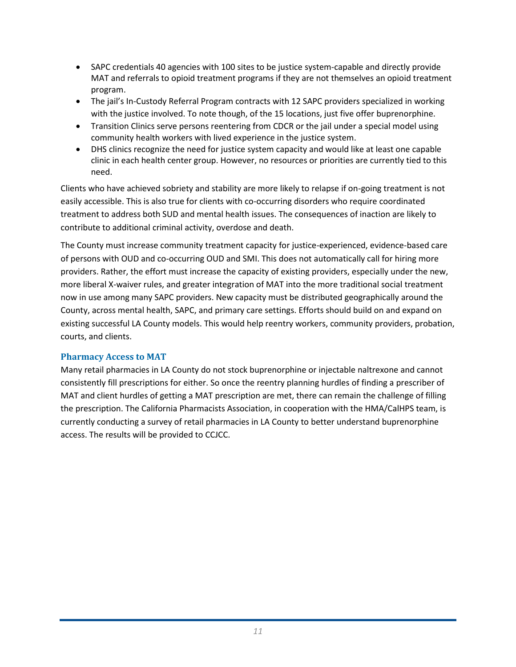- SAPC credentials 40 agencies with 100 sites to be justice system-capable and directly provide MAT and referrals to opioid treatment programs if they are not themselves an opioid treatment program.
- The jail's In-Custody Referral Program contracts with 12 SAPC providers specialized in working with the justice involved. To note though, of the 15 locations, just five offer buprenorphine.
- Transition Clinics serve persons reentering from CDCR or the jail under a special model using community health workers with lived experience in the justice system.
- DHS clinics recognize the need for justice system capacity and would like at least one capable clinic in each health center group. However, no resources or priorities are currently tied to this need.

Clients who have achieved sobriety and stability are more likely to relapse if on-going treatment is not easily accessible. This is also true for clients with co-occurring disorders who require coordinated treatment to address both SUD and mental health issues. The consequences of inaction are likely to contribute to additional criminal activity, overdose and death.

The County must increase community treatment capacity for justice-experienced, evidence-based care of persons with OUD and co-occurring OUD and SMI. This does not automatically call for hiring more providers. Rather, the effort must increase the capacity of existing providers, especially under the new, more liberal X-waiver rules, and greater integration of MAT into the more traditional social treatment now in use among many SAPC providers. New capacity must be distributed geographically around the County, across mental health, SAPC, and primary care settings. Efforts should build on and expand on existing successful LA County models. This would help reentry workers, community providers, probation, courts, and clients.

#### **Pharmacy Access to MAT**

Many retail pharmacies in LA County do not stock buprenorphine or injectable naltrexone and cannot consistently fill prescriptions for either. So once the reentry planning hurdles of finding a prescriber of MAT and client hurdles of getting a MAT prescription are met, there can remain the challenge of filling the prescription. The California Pharmacists Association, in cooperation with the HMA/CalHPS team, is currently conducting a survey of retail pharmacies in LA County to better understand buprenorphine access. The results will be provided to CCJCC.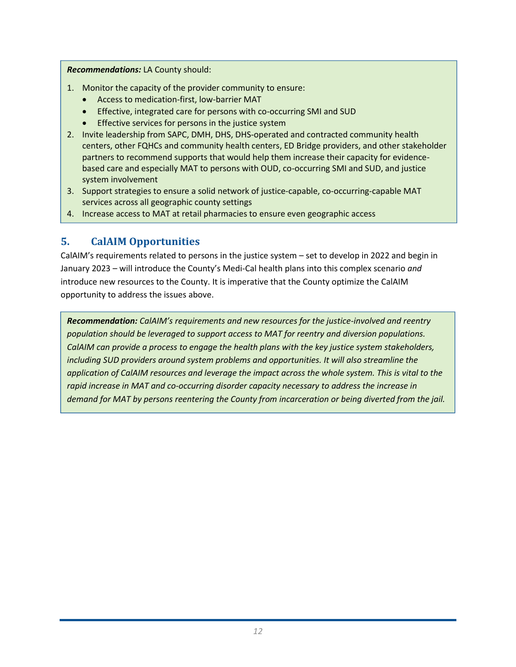#### *Recommendations:* LA County should:

- 1. Monitor the capacity of the provider community to ensure:
	- Access to medication-first, low-barrier MAT
	- Effective, integrated care for persons with co-occurring SMI and SUD
	- Effective services for persons in the justice system
- 2. Invite leadership from SAPC, DMH, DHS, DHS-operated and contracted community health centers, other FQHCs and community health centers, ED Bridge providers, and other stakeholder partners to recommend supports that would help them increase their capacity for evidencebased care and especially MAT to persons with OUD, co-occurring SMI and SUD, and justice system involvement
- 3. Support strategies to ensure a solid network of justice-capable, co-occurring-capable MAT services across all geographic county settings
- 4. Increase access to MAT at retail pharmacies to ensure even geographic access

## **5. CalAIM Opportunities**

CalAIM's requirements related to persons in the justice system – set to develop in 2022 and begin in January 2023 – will introduce the County's Medi-Cal health plans into this complex scenario *and*  introduce new resources to the County. It is imperative that the County optimize the CalAIM opportunity to address the issues above.

*Recommendation: CalAIM's requirements and new resources for the justice-involved and reentry population should be leveraged to support access to MAT for reentry and diversion populations. CalAIM can provide a process to engage the health plans with the key justice system stakeholders, including SUD providers around system problems and opportunities. It will also streamline the application of CalAIM resources and leverage the impact across the whole system. This is vital to the rapid increase in MAT and co-occurring disorder capacity necessary to address the increase in demand for MAT by persons reentering the County from incarceration or being diverted from the jail.*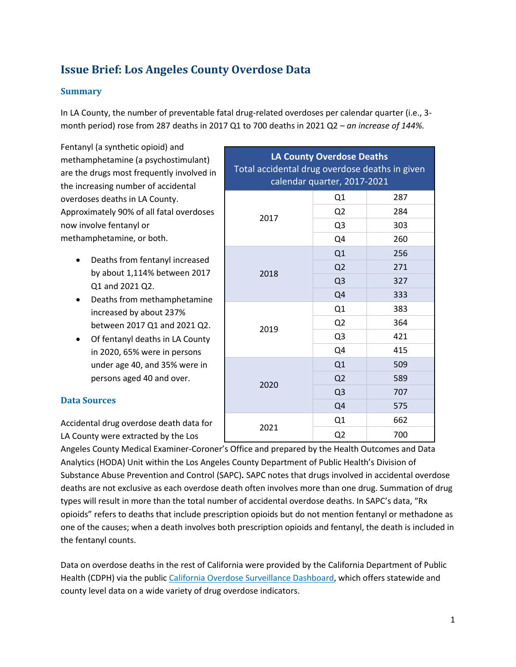# **Issue Brief: Los Angeles County Overdose Data**

#### **Summary**

In LA County, the number of preventable fatal drug-related overdoses per calendar quarter (i.e., 3 month period) rose from 287 deaths in 2017 Q1 to 700 deaths in 2021 Q2 – *an increase of 144%.*

Fentanyl (a synthetic opioid) and methamphetamine (a psychostimulant) are the drugs most frequently involved in the increasing number of accidental overdoses deaths in LA County. Approximately 90% of all fatal overdoses now involve fentanyl or methamphetamine, or both.

- Deaths from fentanyl increased by about 1,114% between 2017 Q1 and 2021 Q2.
- Deaths from methamphetamine increased by about 237% between 2017 Q1 and 2021 Q2.
- Of fentanyl deaths in LA County in 2020, 65% were in persons under age 40, and 35% were in persons aged 40 and over.

#### **Data Sources**

Accidental drug overdose death data for LA County were extracted by the Los

| <b>LA County Overdose Deaths</b><br>Total accidental drug overdose deaths in given<br>calendar quarter, 2017-2021 |                |     |  |  |
|-------------------------------------------------------------------------------------------------------------------|----------------|-----|--|--|
| 2017                                                                                                              | Q1             | 287 |  |  |
|                                                                                                                   | Q <sub>2</sub> | 284 |  |  |
|                                                                                                                   | Q <sub>3</sub> | 303 |  |  |
|                                                                                                                   | Q4             | 260 |  |  |
| 2018                                                                                                              | Q1             | 256 |  |  |
|                                                                                                                   | Q2             | 271 |  |  |
|                                                                                                                   | Q <sub>3</sub> | 327 |  |  |
|                                                                                                                   | Q4             | 333 |  |  |
|                                                                                                                   | Q1             | 383 |  |  |
| 2019                                                                                                              | Q <sub>2</sub> | 364 |  |  |
|                                                                                                                   | Q <sub>3</sub> | 421 |  |  |
|                                                                                                                   | Q4             | 415 |  |  |
| 2020                                                                                                              | Q1             | 509 |  |  |
|                                                                                                                   | Q2             | 589 |  |  |
|                                                                                                                   | Q <sub>3</sub> | 707 |  |  |
|                                                                                                                   | Q4             | 575 |  |  |
| 2021                                                                                                              | Q1             | 662 |  |  |
|                                                                                                                   | Q <sub>2</sub> | 700 |  |  |

Angeles County Medical Examiner-Coroner's Office and prepared by the Health Outcomes and Data Analytics (HODA) Unit within the Los Angeles County Department of Public Health's Division of Substance Abuse Prevention and Control (SAPC)*.* SAPC notes that drugs involved in accidental overdose deaths are not exclusive as each overdose death often involves more than one drug. Summation of drug types will result in more than the total number of accidental overdose deaths. In SAPC's data, "Rx opioids" refers to deaths that include prescription opioids but do not mention fentanyl or methadone as one of the causes; when a death involves both prescription opioids and fentanyl, the death is included in the fentanyl counts.

Data on overdose deaths in the rest of California were provided by the California Department of Public Health (CDPH) via the publi[c California Overdose Surveillance Dashboard,](https://skylab.cdph.ca.gov/ODdash/) which offers statewide and county level data on a wide variety of drug overdose indicators.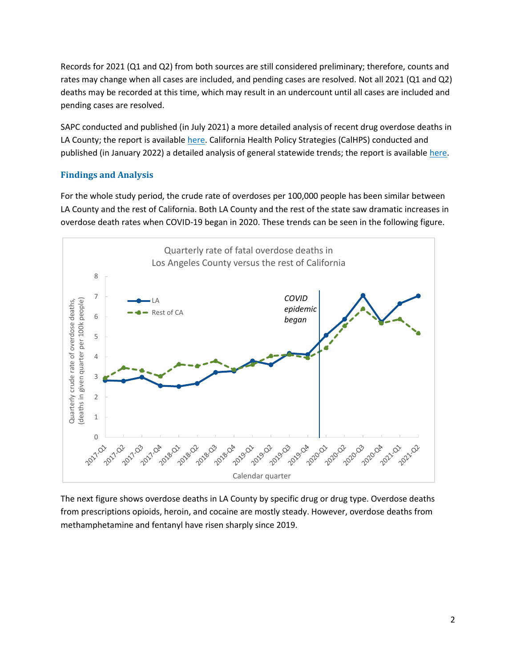Records for 2021 (Q1 and Q2) from both sources are still considered preliminary; therefore, counts and rates may change when all cases are included, and pending cases are resolved. Not all 2021 (Q1 and Q2) deaths may be recorded at this time, which may result in an undercount until all cases are included and pending cases are resolved.

SAPC conducted and published (in July 2021) a more detailed analysis of recent drug overdose deaths in LA County; the report is availabl[e here.](https://perma.cc/QH6S-7QG4) California Health Policy Strategies (CalHPS) conducted and published (in January 2022) a detailed analysis of general statewide trends; the report is available [here.](https://perma.cc/FZ76-LNKW)

#### **Findings and Analysis**

For the whole study period, the crude rate of overdoses per 100,000 people has been similar between LA County and the rest of California. Both LA County and the rest of the state saw dramatic increases in overdose death rates when COVID-19 began in 2020. These trends can be seen in the following figure.



The next figure shows overdose deaths in LA County by specific drug or drug type. Overdose deaths from prescriptions opioids, heroin, and cocaine are mostly steady. However, overdose deaths from methamphetamine and fentanyl have risen sharply since 2019.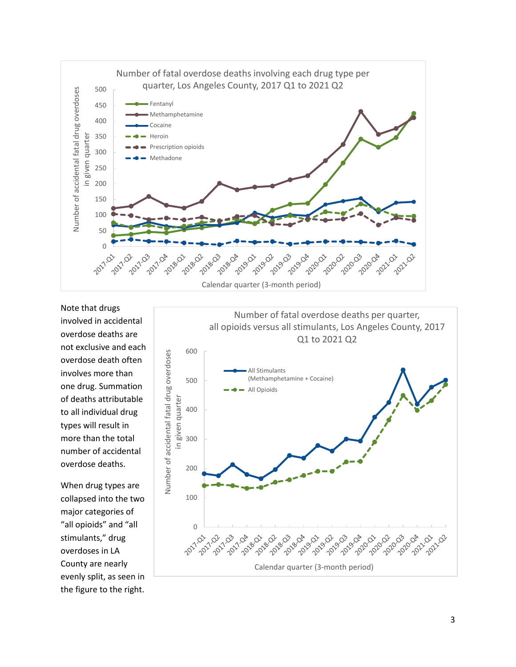

Note that drugs involved in accidental overdose deaths are not exclusive and each overdose death often involves more than one drug. Summation of deaths attributable to all individual drug types will result in more than the total number of accidental overdose deaths.

When drug types are collapsed into the two major categories of "all opioids" and "all stimulants," drug overdoses in LA County are nearly evenly split, as seen in the figure to the right.

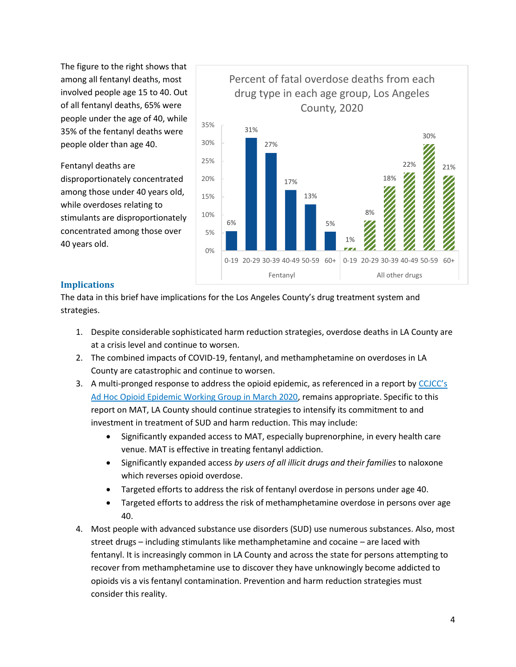The figure to the right shows that among all fentanyl deaths, most involved people age 15 to 40. Out of all fentanyl deaths, 65% were people under the age of 40, while 35% of the fentanyl deaths were people older than age 40.

#### Fentanyl deaths are

disproportionately concentrated among those under 40 years old, while overdoses relating to stimulants are disproportionately concentrated among those over 40 years old.



#### **Implications**

The data in this brief have implications for the Los Angeles County's drug treatment system and strategies.

- 1. Despite considerable sophisticated harm reduction strategies, overdose deaths in LA County are at a crisis level and continue to worsen.
- 2. The combined impacts of COVID-19, fentanyl, and methamphetamine on overdoses in LA County are catastrophic and continue to worsen.
- 3. A multi-pronged response to address the opioid epidemic, as referenced in a report by [CCJCC's](http://ccjcc.lacounty.gov/LinkClick.aspx?fileticket=Z1XQdXiSA54%3d&portalid=11)  [Ad Hoc Opioid Epidemic Working Group in March 2020,](http://ccjcc.lacounty.gov/LinkClick.aspx?fileticket=Z1XQdXiSA54%3d&portalid=11) remains appropriate. Specific to this report on MAT, LA County should continue strategies to intensify its commitment to and investment in treatment of SUD and harm reduction. This may include:
	- Significantly expanded access to MAT, especially buprenorphine, in every health care venue. MAT is effective in treating fentanyl addiction.
	- Significantly expanded access *by users of all illicit drugs and their families* to naloxone which reverses opioid overdose.
	- Targeted efforts to address the risk of fentanyl overdose in persons under age 40.
	- Targeted efforts to address the risk of methamphetamine overdose in persons over age 40.
- 4. Most people with advanced substance use disorders (SUD) use numerous substances. Also, most street drugs – including stimulants like methamphetamine and cocaine – are laced with fentanyl. It is increasingly common in LA County and across the state for persons attempting to recover from methamphetamine use to discover they have unknowingly become addicted to opioids vis a vis fentanyl contamination. Prevention and harm reduction strategies must consider this reality.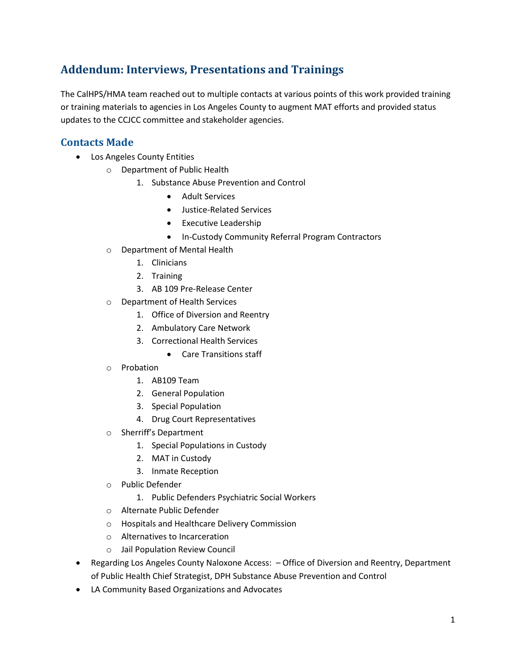# **Addendum: Interviews, Presentations and Trainings**

The CalHPS/HMA team reached out to multiple contacts at various points of this work provided training or training materials to agencies in Los Angeles County to augment MAT efforts and provided status updates to the CCJCC committee and stakeholder agencies.

## **Contacts Made**

- Los Angeles County Entities
	- o Department of Public Health
		- 1. Substance Abuse Prevention and Control
			- Adult Services
			- Justice-Related Services
			- Executive Leadership
			- In-Custody Community Referral Program Contractors
	- o Department of Mental Health
		- 1. Clinicians
		- 2. Training
		- 3. AB 109 Pre-Release Center
	- o Department of Health Services
		- 1. Office of Diversion and Reentry
		- 2. Ambulatory Care Network
		- 3. Correctional Health Services
			- Care Transitions staff
	- o Probation
		- 1. AB109 Team
		- 2. General Population
		- 3. Special Population
		- 4. Drug Court Representatives
	- o Sherriff's Department
		- 1. Special Populations in Custody
		- 2. MAT in Custody
		- 3. Inmate Reception
	- o Public Defender
		- 1. Public Defenders Psychiatric Social Workers
	- o Alternate Public Defender
	- o Hospitals and Healthcare Delivery Commission
	- o Alternatives to Incarceration
	- o Jail Population Review Council
- Regarding Los Angeles County Naloxone Access: Office of Diversion and Reentry, Department of Public Health Chief Strategist, DPH Substance Abuse Prevention and Control
- LA Community Based Organizations and Advocates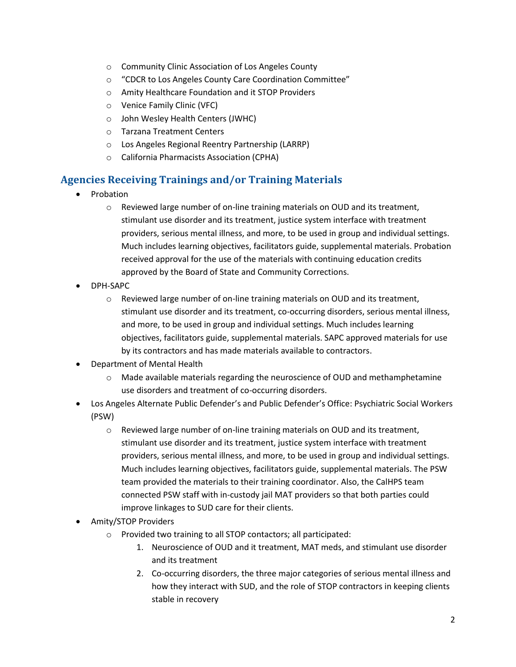- o Community Clinic Association of Los Angeles County
- o "CDCR to Los Angeles County Care Coordination Committee"
- o Amity Healthcare Foundation and it STOP Providers
- o Venice Family Clinic (VFC)
- o John Wesley Health Centers (JWHC)
- o Tarzana Treatment Centers
- o Los Angeles Regional Reentry Partnership (LARRP)
- o California Pharmacists Association (CPHA)

## **Agencies Receiving Trainings and/or Training Materials**

- Probation
	- o Reviewed large number of on-line training materials on OUD and its treatment, stimulant use disorder and its treatment, justice system interface with treatment providers, serious mental illness, and more, to be used in group and individual settings. Much includes learning objectives, facilitators guide, supplemental materials. Probation received approval for the use of the materials with continuing education credits approved by the Board of State and Community Corrections.
- DPH-SAPC
	- $\circ$  Reviewed large number of on-line training materials on OUD and its treatment, stimulant use disorder and its treatment, co-occurring disorders, serious mental illness, and more, to be used in group and individual settings. Much includes learning objectives, facilitators guide, supplemental materials. SAPC approved materials for use by its contractors and has made materials available to contractors.
- Department of Mental Health
	- $\circ$  Made available materials regarding the neuroscience of OUD and methamphetamine use disorders and treatment of co-occurring disorders.
- Los Angeles Alternate Public Defender's and Public Defender's Office: Psychiatric Social Workers (PSW)
	- o Reviewed large number of on-line training materials on OUD and its treatment, stimulant use disorder and its treatment, justice system interface with treatment providers, serious mental illness, and more, to be used in group and individual settings. Much includes learning objectives, facilitators guide, supplemental materials. The PSW team provided the materials to their training coordinator. Also, the CalHPS team connected PSW staff with in-custody jail MAT providers so that both parties could improve linkages to SUD care for their clients.
- Amity/STOP Providers
	- o Provided two training to all STOP contactors; all participated:
		- 1. Neuroscience of OUD and it treatment, MAT meds, and stimulant use disorder and its treatment
		- 2. Co-occurring disorders, the three major categories of serious mental illness and how they interact with SUD, and the role of STOP contractors in keeping clients stable in recovery